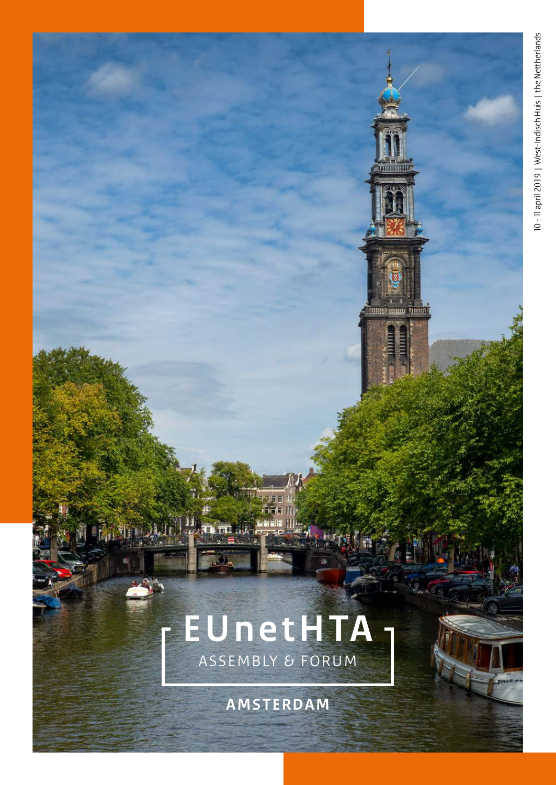### **EUnetHTA** A S S E M B LY & FORUM

**Report** 

**AMSTERDAM**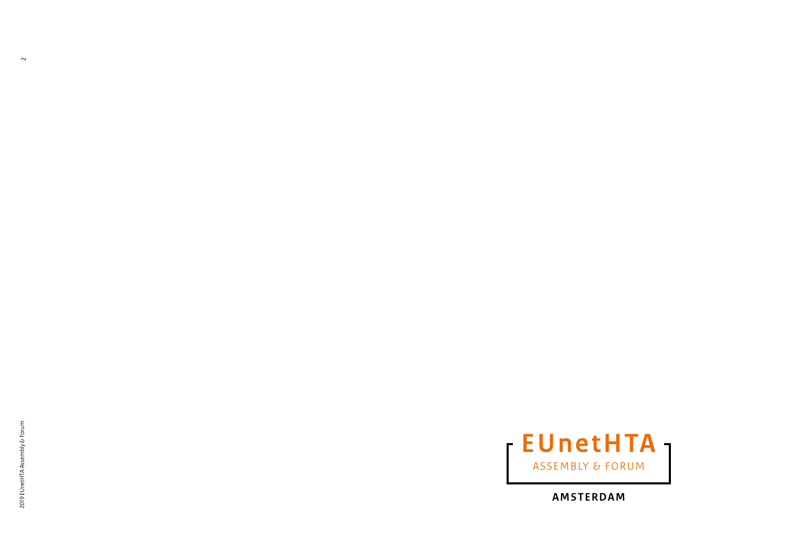$\sim$ 



**AMSTERDAM**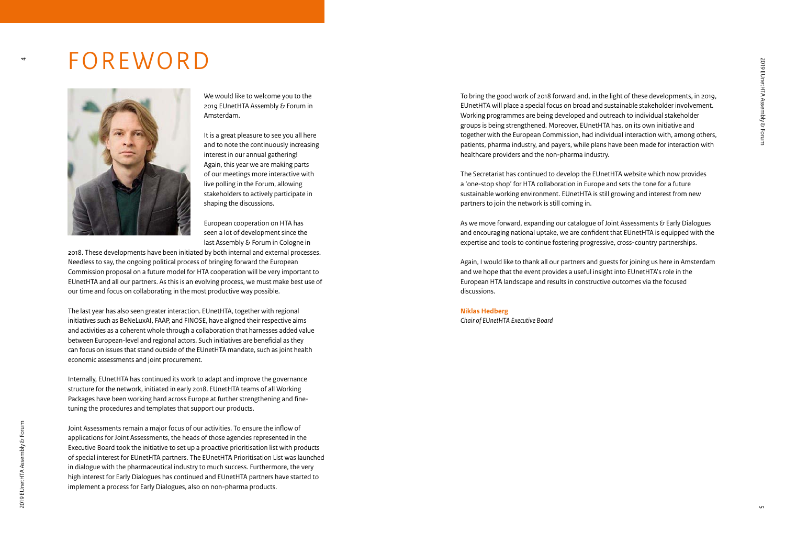### FOREWORD



We would like to welcome you to the 2019 EUnetHTA Assembly & Forum in Amsterdam.

It is a great pleasure to see you all here and to note the continuously increasing interest in our annual gathering! Again, this year we are making parts of our meetings more interactive with live polling in the Forum, allowing stakeholders to actively participate in shaping the discussions.

European cooperation on HTA has seen a lot of development since the last Assembly & Forum in Cologne in

2018. These developments have been initiated by both internal and external processes. Needless to say, the ongoing political process of bringing forward the European Commission proposal on a future model for HTA cooperation will be very important to EUnetHTA and all our partners. As this is an evolving process, we must make best use of our time and focus on collaborating in the most productive way possible.

The last year has also seen greater interaction. EUnetHTA, together with regional initiatives such as BeNeLuxAI, FAAP, and FINOSE, have aligned their respective aims and activities as a coherent whole through a collaboration that harnesses added value between European-level and regional actors. Such initiatives are beneficial as they can focus on issues that stand outside of the EUnetHTA mandate, such as joint health economic assessments and joint procurement.

Internally, EUnetHTA has continued its work to adapt and improve the governance structure for the network, initiated in early 2018. EUnetHTA teams of all Working Packages have been working hard across Europe at further strengthening and finetuning the procedures and templates that support our products.

Joint Assessments remain a major focus of our activities. To ensure the inflow of applications for Joint Assessments, the heads of those agencies represented in the Executive Board took the initiative to set up a proactive prioritisation list with products of special interest for EUnetHTA partners. The EUnetHTA Prioritisation List was launched in dialogue with the pharmaceutical industry to much success. Furthermore, the very high interest for Early Dialogues has continued and EUnetHTA partners have started to implement a process for Early Dialogues, also on non-pharma products.

To bring the good work of 2018 forward and, in the light of these developments, in 2019, EUnetHTA will place a special focus on broad and sustainable stakeholder involvement. Working programmes are being developed and outreach to individual stakeholder groups is being strengthened. Moreover, EUnetHTA has, on its own initiative and together with the European Commission, had individual interaction with, among others, patients, pharma industry, and payers, while plans have been made for interaction with healthcare providers and the non-pharma industry.

The Secretariat has continued to develop the EUnetHTA website which now provides a 'one-stop shop' for HTA collaboration in Europe and sets the tone for a future sustainable working environment. EUnetHTA is still growing and interest from new partners to join the network is still coming in.

As we move forward, expanding our catalogue of Joint Assessments & Early Dialogues and encouraging national uptake, we are confident that EUnetHTA is equipped with the expertise and tools to continue fostering progressive, cross-country partnerships.

Again, I would like to thank all our partners and guests for joining us here in Amsterdam and we hope that the event provides a useful insight into EUnetHTA's role in the European HTA landscape and results in constructive outcomes via the focused discussions.

#### **Niklas Hedberg**

*Chair of EUnetHTA Executive Board*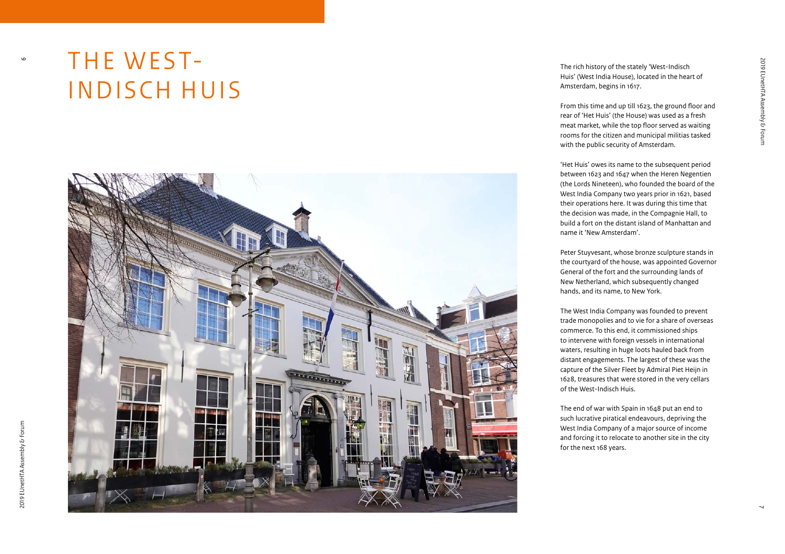# THE WEST-INDISCH HUIS



The rich history of the stately 'West-Indisch Huis' (West India House), located in the heart of Amsterdam, begins in 1617.

From this time and up till 1623, the ground floor and rear of 'Het Huis' (the House) was used as a fresh meat market, while the top floor served as waiting rooms for the citizen and municipal militias tasked with the public security of Amsterdam.

'Het Huis' owes its name to the subsequent period between 1623 and 1647 when the Heren Negentien (the Lords Nineteen), who founded the board of the West India Company two years prior in 1621, based their operations here. It was during this time that the decision was made, in the Compagnie Hall, to build a fort on the distant island of Manhattan and name it 'New Amsterdam'.

Peter Stuyvesant, whose bronze sculpture stands in the courtyard of the house, was appointed Governor General of the fort and the surrounding lands of New Netherland, which subsequently changed hands, and its name, to New York.

The West India Company was founded to prevent trade monopolies and to vie for a share of overseas commerce. To this end, it commissioned ships to intervene with foreign vessels in international waters, resulting in huge loots hauled back from distant engagements. The largest of these was the capture of the Silver Fleet by Admiral Piet Heijn in 1628, treasures that were stored in the very cellars of the West-Indisch Huis.

The end of war with Spain in 1648 put an end to such lucrative piratical endeavours, depriving the West India Company of a major source of income and forcing it to relocate to another site in the city for the next 168 years.

 $\bullet$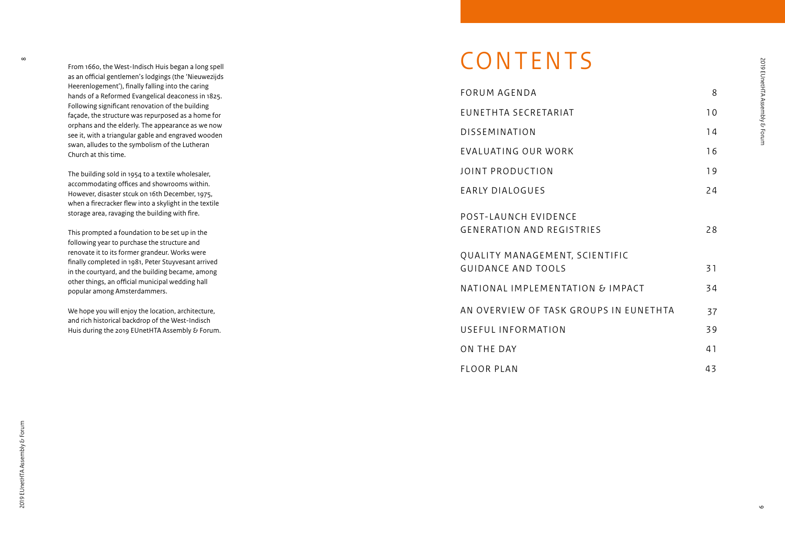From 1660, the West-Indisch Huis began a long spell as an official gentlemen's lodgings (the 'Nieuwezijds Heerenlogement'), finally falling into the caring hands of a Reformed Evangelical deaconess in 1825. Following significant renovation of the building façade, the structure was repurposed as a home for orphans and the elderly. The appearance as we now see it, with a triangular gable and engraved wooden swan, alludes to the symbolism of the Lutheran Church at this time.

The building sold in 1954 to a textile wholesaler, accommodating offices and showrooms within. However, disaster stcuk on 16th December, 1975, when a firecracker flew into a skylight in the textile storage area, ravaging the building with fire.

This prompted a foundation to be set up in the following year to purchase the structure and renovate it to its former grandeur. Works were finally completed in 1981, Peter Stuyvesant arrived in the courtyard, and the building became, among other things, an official municipal wedding hall popular among Amsterdammers.

We hope you will enjoy the location, architecture, and rich historical backdrop of the West-Indisch Huis during the 2019 EUnetHTA Assembly & Forum.

### **CONTENTS**

| FORUM AGENDA                                                | 8  |
|-------------------------------------------------------------|----|
| EUNETHTA SECRETARIAT                                        | 10 |
| <b>DISSEMINATION</b>                                        | 14 |
| EVALUATING OUR WORK                                         | 16 |
| JOINT PRODUCTION                                            | 19 |
| <b>EARLY DIALOGUES</b>                                      | 24 |
| POST-LAUNCH EVIDENCE<br><b>GENERATION AND REGISTRIES</b>    | 28 |
| QUALITY MANAGEMENT, SCIENTIFIC<br><b>GUIDANCE AND TOOLS</b> | 31 |
| NATIONAL IMPLEMENTATION & IMPACT                            | 34 |
| AN OVERVIEW OF TASK GROUPS IN EUNETHTA                      | 37 |
| USEFUL INFORMATION                                          | 39 |
| ON THE DAY                                                  | 41 |
| <b>FLOOR PLAN</b>                                           | 43 |

 $\infty$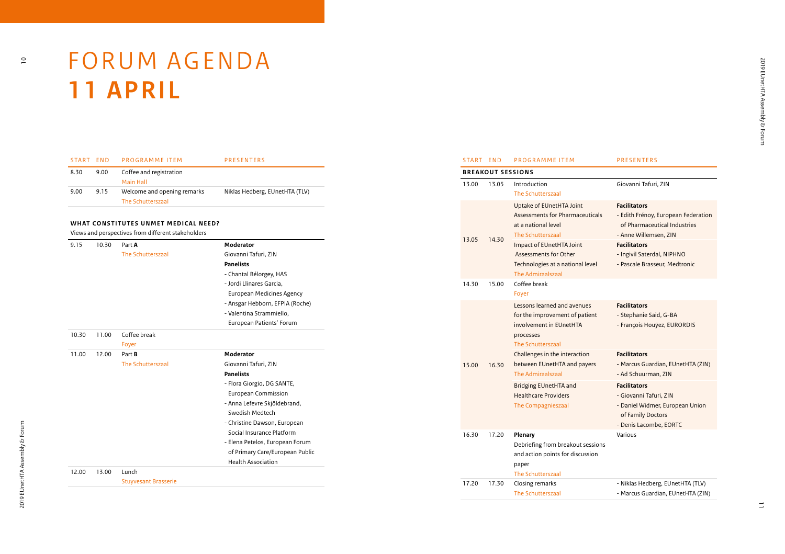

# FORUM AGENDA **1 1 APRIL**

| START FND |      | PROGRAMME ITEM                                   | <b>PRESENTERS</b>              |
|-----------|------|--------------------------------------------------|--------------------------------|
| 8.30      | 9.00 | Coffee and registration<br>Main Hall             |                                |
| 9.00      | 9.15 | Welcome and opening remarks<br>The Schutterszaal | Niklas Hedberg, EUnetHTA (TLV) |

#### **WHAT CONSTITUTES UNMET MEDICAL NEED?**

Views and perspectives from different stakeholders

| 9.15  | 10.30 | Part A                      | Moderator                       |
|-------|-------|-----------------------------|---------------------------------|
|       |       | The Schutterszaal           | Giovanni Tafuri, ZIN            |
|       |       |                             | <b>Panelists</b>                |
|       |       |                             |                                 |
|       |       |                             | - Chantal Bélorgey, HAS         |
|       |       |                             | - Jordi Llinares Garcia.        |
|       |       |                             | European Medicines Agency       |
|       |       |                             | - Ansgar Hebborn, EFPIA (Roche) |
|       |       |                             | - Valentina Strammiello,        |
|       |       |                             | European Patients' Forum        |
| 10.30 | 11.00 | Coffee break                |                                 |
|       |       | Foyer                       |                                 |
| 11.00 | 12.00 | Part B                      | Moderator                       |
|       |       | The Schutterszaal           | Giovanni Tafuri, ZIN            |
|       |       |                             | <b>Panelists</b>                |
|       |       |                             | - Flora Giorgio, DG SANTE,      |
|       |       |                             | European Commission             |
|       |       |                             | - Anna Lefevre Skjöldebrand,    |
|       |       |                             | Swedish Medtech                 |
|       |       |                             | - Christine Dawson, European    |
|       |       |                             | Social Insurance Platform       |
|       |       |                             | - Elena Petelos, European Forum |
|       |       |                             |                                 |
|       |       |                             | of Primary Care/European Public |
|       |       |                             | <b>Health Association</b>       |
| 12.00 | 13.00 | Lunch                       |                                 |
|       |       | <b>Stuyvesant Brasserie</b> |                                 |

| START END |                                                                                   | <b>PROGRAMME ITEM</b>                                                                                                                                                                                                        | <b>PRESENTERS</b>                                                                                                                                                                                         |
|-----------|-----------------------------------------------------------------------------------|------------------------------------------------------------------------------------------------------------------------------------------------------------------------------------------------------------------------------|-----------------------------------------------------------------------------------------------------------------------------------------------------------------------------------------------------------|
|           |                                                                                   | <b>BREAKOUT SESSIONS</b>                                                                                                                                                                                                     |                                                                                                                                                                                                           |
| 13.00     | 13.05                                                                             | Introduction<br><b>The Schutterszaal</b>                                                                                                                                                                                     | Giovanni Tafuri, ZIN                                                                                                                                                                                      |
| 13.05     | 14.30                                                                             | Uptake of EUnetHTA Joint<br>Assessments for Pharmaceuticals<br>at a national level<br>The Schutterszaal<br>Impact of EUnetHTA Joint<br>Assessments for Other<br>Technologies at a national level<br><b>The Admiraalszaal</b> | <b>Facilitators</b><br>- Edith Frénoy, European Federation<br>of Pharmaceutical Industries<br>- Anne Willemsen, ZIN<br><b>Facilitators</b><br>- Ingivil Saterdal, NIPHNO<br>- Pascale Brasseur, Medtronic |
| 14.30     | 15.00                                                                             | Coffee break<br>Foyer                                                                                                                                                                                                        |                                                                                                                                                                                                           |
|           |                                                                                   | Lessons learned and avenues<br>for the improvement of patient<br>involvement in EUnetHTA<br>processes<br>The Schutterszaal                                                                                                   | <b>Facilitators</b><br>- Stephanie Said, G-BA<br>- François Houÿez, EURORDIS                                                                                                                              |
| 15.00     | 16.30                                                                             | Challenges in the interaction<br>between EUnetHTA and payers<br>The Admiraalszaal                                                                                                                                            | <b>Facilitators</b><br>- Marcus Guardian, EUnetHTA (ZIN)<br>- Ad Schuurman, ZIN                                                                                                                           |
|           | <b>Bridging EUnetHTA and</b><br><b>Healthcare Providers</b><br>The Compagnieszaal | <b>Facilitators</b><br>- Giovanni Tafuri, ZIN<br>- Daniel Widmer, European Union<br>of Family Doctors<br>- Denis Lacombe, EORTC                                                                                              |                                                                                                                                                                                                           |
| 16.30     | 17.20                                                                             | <b>Plenary</b><br>Debriefing from breakout sessions<br>and action points for discussion<br>paper<br>The Schutterszaal                                                                                                        | Various                                                                                                                                                                                                   |
| 17.20     | 17.30                                                                             | Closing remarks<br>The Schutterszaal                                                                                                                                                                                         | - Niklas Hedberg, EUnetHTA (TLV)<br>- Marcus Guardian, EUnetHTA (ZIN)                                                                                                                                     |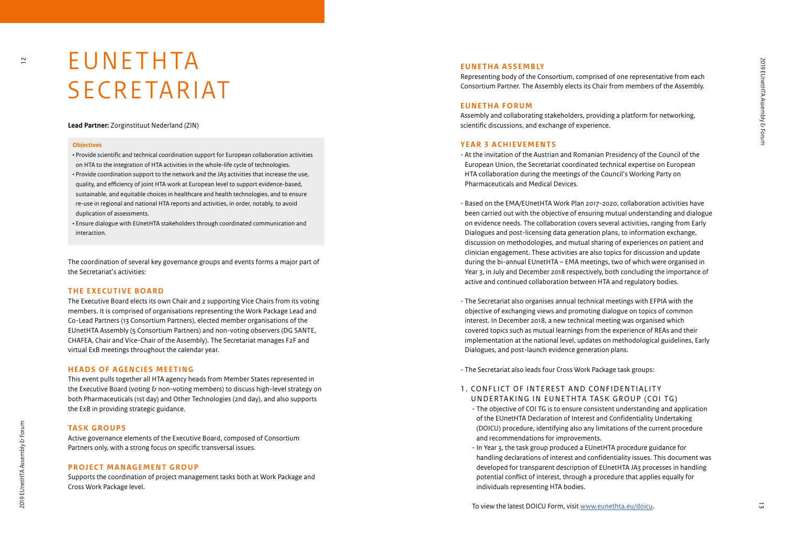### **EUNETHTA** SECRETARIAT

#### **Lead Partner:** Zorginstituut Nederland (ZIN)

#### **Objectives**

 $\overline{a}$ 

• Provide scientific and technical coordination support for European collaboration activities on HTA to the integration of HTA activities in the whole-life cycle of technologies. • Provide coordination support to the network and the JA3 activities that increase the use, quality, and efficiency of joint HTA work at European level to support evidence-based, sustainable, and equitable choices in healthcare and health technologies, and to ensure re-use in regional and national HTA reports and activities, in order, notably, to avoid duplication of assessments.

• Ensure dialogue with EUnetHTA stakeholders through coordinated communication and interaction.

The coordination of several key governance groups and events forms a major part of the Secretariat's activities:

#### **THE EXECUTIVE BOARD**

The Executive Board elects its own Chair and 2 supporting Vice Chairs from its voting members. It is comprised of organisations representing the Work Package Lead and Co-Lead Partners (13 Consortium Partners), elected member organisations of the EUnetHTA Assembly (5 Consortium Partners) and non-voting observers (DG SANTE, CHAFEA, Chair and Vice-Chair of the Assembly). The Secretariat manages F2F and virtual ExB meetings throughout the calendar year.

#### **HEADS OF AGENCIES MEETING**

This event pulls together all HTA agency heads from Member States represented in the Executive Board (voting & non-voting members) to discuss high-level strategy on both Pharmaceuticals (1st day) and Other Technologies (2nd day), and also supports the ExB in providing strategic guidance.

#### **TA S K G R O U P S**

Active governance elements of the Executive Board, composed of Consortium Partners only, with a strong focus on specific transversal issues.

#### **PROJECT MANAGEMENT GROUP**

Supports the coordination of project management tasks both at Work Package and Cross Work Package level.

#### **E U N E T H A A S S E M B LY**

Representing body of the Consortium, comprised of one representative from each Consortium Partner. The Assembly elects its Chair from members of the Assembly.

#### **EUNETHA FORUM**

Assembly and collaborating stakeholders, providing a platform for networking, scientific discussions, and exchange of experience.

#### **YEAR 3 ACHIEVEMENTS**

- At the invitation of the Austrian and Romanian Presidency of the Council of the European Union, the Secretariat coordinated technical expertise on European HTA collaboration during the meetings of the Council's Working Party on Pharmaceuticals and Medical Devices.

- Based on the EMA/EUnetHTA Work Plan 2017-2020, collaboration activities have been carried out with the objective of ensuring mutual understanding and dialogue on evidence needs. The collaboration covers several activities, ranging from Early Dialogues and post-licensing data generation plans, to information exchange, discussion on methodologies, and mutual sharing of experiences on patient and clinician engagement. These activities are also topics for discussion and update during the bi-annual EUnetHTA – EMA meetings, two of which were organised in Year 3, in July and December 2018 respectively, both concluding the importance of active and continued collaboration between HTA and regulatory bodies.
- The Secretariat also organises annual technical meetings with EFPIA with the objective of exchanging views and promoting dialogue on topics of common interest. In December 2018, a new technical meeting was organised which covered topics such as mutual learnings from the experience of REAs and their implementation at the national level, updates on methodological guidelines, Early Dialogues, and post-launch evidence generation plans.
- The Secretariat also leads four Cross Work Package task groups:

#### 1. CONFLICT OF INTEREST AND CONFIDENTIALITY UNDERTAKING IN EUNETHTA TASK GROUP (COI TG)

- The objective of COI TG is to ensure consistent understanding and application of the EUnetHTA Declaration of Interest and Confidentiality Undertaking (DOICU) procedure, identifying also any limitations of the current procedure and recommendations for improvements.
- In Year 3, the task group produced a EUnetHTA procedure guidance for handling declarations of interest and confidentiality issues. This document was developed for transparent description of EUnetHTA JA3 processes in handling potential conflict of interest, through a procedure that applies equally for individuals representing HTA bodies.

To view the latest DOICU Form, visit [www.eunethta.eu/doicu](http://www.eunethta.eu/doicu).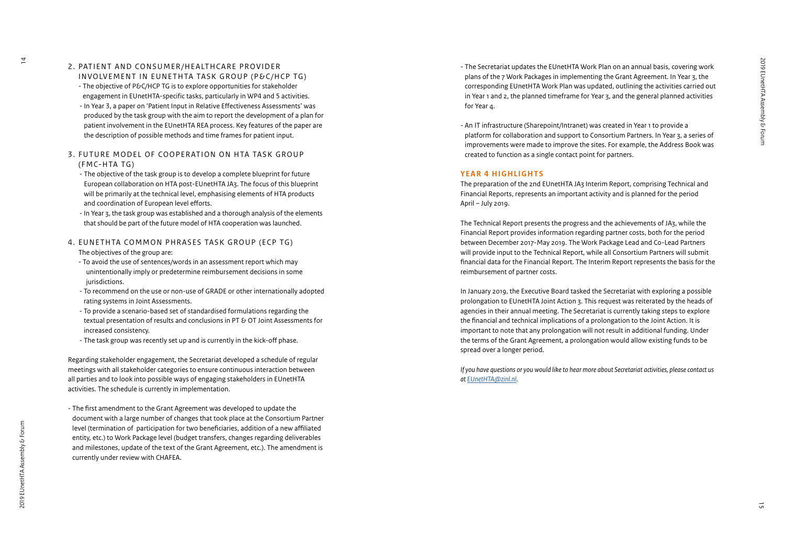2. PATIENT AND CONSUMER/HEALTHCARE PROVIDER

- INVOLVEMENT IN EUNETHTA TASK GROUP (P&C/HCP TG) - The objective of P&C/HCP TG is to explore opportunities for stakeholder engagement in EUnetHTA-specific tasks, particularly in WP4 and 5 activities. - In Year 3, a paper on 'Patient Input in Relative Effectiveness Assessments' was
- produced by the task group with the aim to report the development of a plan for patient involvement in the EUnetHTA REA process. Key features of the paper are the description of possible methods and time frames for patient input.

#### 3. FUTURE MODEL OF COOPERATION ON HTA TASK GROUP (FMC-HTA TG)

- The objective of the task group is to develop a complete blueprint for future European collaboration on HTA post-EUnetHTA JA3. The focus of this blueprint will be primarily at the technical level, emphasising elements of HTA products and coordination of European level efforts.
- In Year 3, the task group was established and a thorough analysis of the elements that should be part of the future model of HTA cooperation was launched.
- 4. EUNETHTA COMMON PHRASES TASK GROUP (ECP TG)
	- The objectives of the group are:
	- To avoid the use of sentences/words in an assessment report which may unintentionally imply or predetermine reimbursement decisions in some jurisdictions.
	- To recommend on the use or non-use of GRADE or other internationally adopted rating systems in Joint Assessments.
	- To provide a scenario-based set of standardised formulations regarding the textual presentation of results and conclusions in PT & OT Joint Assessments for increased consistency.
	- The task group was recently set up and is currently in the kick-off phase.

Regarding stakeholder engagement, the Secretariat developed a schedule of regular meetings with all stakeholder categories to ensure continuous interaction between all parties and to look into possible ways of engaging stakeholders in EUnetHTA activities. The schedule is currently in implementation.

- The first amendment to the Grant Agreement was developed to update the document with a large number of changes that took place at the Consortium Partner level (termination of participation for two beneficiaries, addition of a new affiliated entity, etc.) to Work Package level (budget transfers, changes regarding deliverables and milestones, update of the text of the Grant Agreement, etc.). The amendment is currently under review with CHAFEA.

- The Secretariat updates the EUnetHTA Work Plan on an annual basis, covering work plans of the 7 Work Packages in implementing the Grant Agreement. In Year 3, the corresponding EUnetHTA Work Plan was updated, outlining the activities carried out in Year 1 and 2, the planned timeframe for Year 3, and the general planned activities for Year 4.
- An IT infrastructure (Sharepoint/Intranet) was created in Year 1 to provide a platform for collaboration and support to Consortium Partners. In Year 3, a series of improvements were made to improve the sites. For example, the Address Book was created to function as a single contact point for partners.

#### **YEAR 4 HIGHLIGHTS**

The preparation of the 2nd EUnetHTA JA3 Interim Report, comprising Technical and Financial Reports, represents an important activity and is planned for the period April – July 2019.

The Technical Report presents the progress and the achievements of JA3, while the Financial Report provides information regarding partner costs, both for the period between December 2017-May 2019. The Work Package Lead and Co-Lead Partners will provide input to the Technical Report, while all Consortium Partners will submit financial data for the Financial Report. The Interim Report represents the basis for the reimbursement of partner costs.

In January 2019, the Executive Board tasked the Secretariat with exploring a possible prolongation to EUnetHTA Joint Action 3. This request was reiterated by the heads of agencies in their annual meeting. The Secretariat is currently taking steps to explore the financial and technical implications of a prolongation to the Joint Action. It is important to note that any prolongation will not result in additional funding. Under the terms of the Grant Agreement, a prolongation would allow existing funds to be spread over a longer period.

*If you have questions or you would like to hear more about Secretariat activities, please contact us at [EUnetHTA@zinl.nl](mailto:EUnetHTA%40zinl.nl?subject=) .*

 $\overline{4}$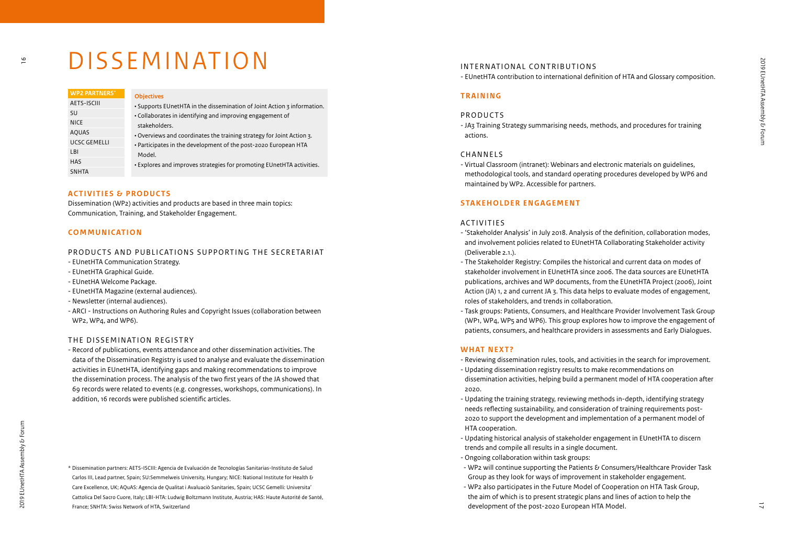### DISSEMINATION

| <b>WP2 PARTNERS*</b> | <b>Objectives</b>                                                         |  |  |
|----------------------|---------------------------------------------------------------------------|--|--|
| AETS-ISCIII          | . Supports EUnetHTA in the dissemination of Joint Action 3 information.   |  |  |
| SU                   | • Collaborates in identifying and improving engagement of                 |  |  |
| <b>NICE</b>          | stakeholders.                                                             |  |  |
| <b>AQUAS</b>         | . Overviews and coordinates the training strategy for Joint Action 3.     |  |  |
| UCSC GEMELLI         | • Participates in the development of the post-2020 European HTA<br>Model. |  |  |
| LBI                  |                                                                           |  |  |
| <b>HAS</b>           | . Explores and improves strategies for promoting EUnetHTA activities.     |  |  |
| <b>SNHTA</b>         |                                                                           |  |  |

#### **ACTIVITIES & PRODUCTS**

Dissemination (WP2) activities and products are based in three main topics: Communication, Training, and Stakeholder Engagement.

#### **COMMUNICATION**

#### PRODUCTS AND PUBLICATIONS SUPPORTING THE SECRETARIAT

- EUnetHTA Communication Strategy.
- EUnetHTA Graphical Guide.
- EUnetHA Welcome Package.
- EUnetHTA Magazine (external audiences).
- Newsletter (internal audiences).
- ARCI Instructions on Authoring Rules and Copyright Issues (collaboration between WP2, WP4, and WP6).

#### THE DISSEMINATION REGISTRY

- Record of publications, events attendance and other dissemination activities. The data of the Dissemination Registry is used to analyse and evaluate the dissemination activities in EUnetHTA, identifying gaps and making recommendations to improve the dissemination process. The analysis of the two first years of the JA showed that 69 records were related to events (e.g. congresses, workshops, communications). In addition, 16 records were published scientific articles.

 $\frac{6}{1}$ 

\* Dissemination partners: AETS-ISCIII: Agencia de Evaluación de Tecnologías Sanitarias-Instituto de Salud Carlos III, Lead partner, Spain; SU:Semmelweis University, Hungary; NICE: National Institute for Health & Care Excellence, UK; AQuAS: Agencia de Qualitat i Avaluaciò Sanitaries, Spain; UCSC Gemelli: Universita' Cattolica Del Sacro Cuore, Italy; LBI-HTA: Ludwig Boltzmann Institute, Austria; HAS: Haute Autorité de Santé, France; SNHTA: Swiss Network of HTA, Switzerland

#### INTERNATIONAL CONTRIBUTIONS

- EUnetHTA contribution to international definition of HTA and Glossary composition.

#### **TRAINING**

#### PRODUCTS

- JA3 Training Strategy summarising needs, methods, and procedures for training actions.

#### CHANNELS

- Virtual Classroom (intranet): Webinars and electronic materials on guidelines, methodological tools, and standard operating procedures developed by WP6 and maintained by WP2. Accessible for partners.

#### **STAKEHOLDER ENGAGEMENT**

#### ACTIVITIES

- 'Stakeholder Analysis' in July 2018. Analysis of the definition, collaboration modes, and involvement policies related to EUnetHTA Collaborating Stakeholder activity (Deliverable 2.1.).
- The Stakeholder Registry: Compiles the historical and current data on modes of stakeholder involvement in EUnetHTA since 2006. The data sources are EUnetHTA publications, archives and WP documents, from the EUnetHTA Project (2006), Joint Action (JA) 1, 2 and current JA 3. This data helps to evaluate modes of engagement, roles of stakeholders, and trends in collaboration.
- Task groups: Patients, Consumers, and Healthcare Provider Involvement Task Group (WP1, WP4, WP5 and WP6). This group explores how to improve the engagement of patients, consumers, and healthcare providers in assessments and Early Dialogues.

#### **WHAT NEXT?**

- Reviewing dissemination rules, tools, and activities in the search for improvement.
- Updating dissemination registry results to make recommendations on dissemination activities, helping build a permanent model of HTA cooperation after 2020.
- Updating the training strategy, reviewing methods in-depth, identifying strategy needs reflecting sustainability, and consideration of training requirements post-2020 to support the development and implementation of a permanent model of HTA cooperation.
- Updating historical analysis of stakeholder engagement in EUnetHTA to discern trends and compile all results in a single document.
- Ongoing collaboration within task groups:
- WP2 will continue supporting the Patients  $\delta$  Consumers/Healthcare Provider Task Group as they look for ways of improvement in stakeholder engagement.
- WP2 also participates in the Future Model of Cooperation on HTA Task Group, the aim of which is to present strategic plans and lines of action to help the development of the post-2020 European HTA Model.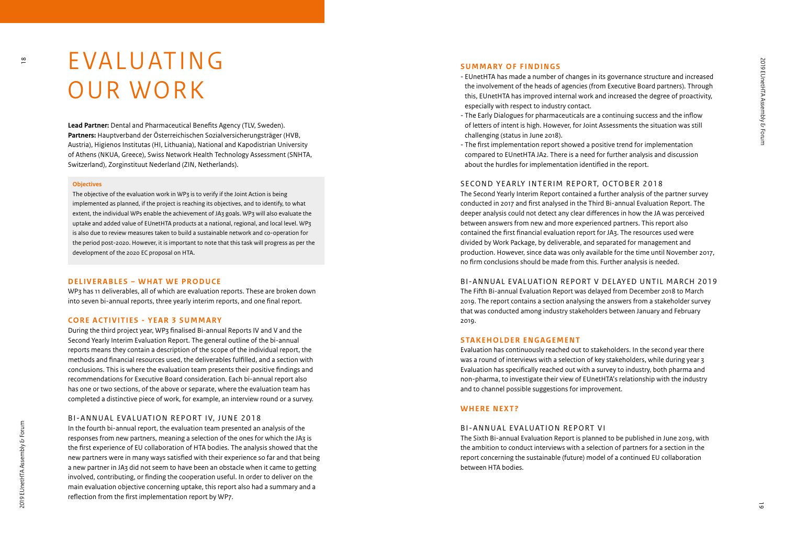### E VA L U AT I N G OUR WORK

**Lead Partner:** Dental and Pharmaceutical Benefits Agency (TLV, Sweden). **Partners:** Hauptverband der Österreichischen Sozialversicherungsträger (HVB, Austria), Higienos Institutas (HI, Lithuania), National and Kapodistrian University of Athens (NKUA, Greece), Swiss Network Health Technology Assessment (SNHTA, Switzerland), Zorginstituut Nederland (ZIN, Netherlands).

#### **Objectives**

The objective of the evaluation work in WP3 is to verify if the Joint Action is being implemented as planned, if the project is reaching its objectives, and to identify, to what extent, the individual WPs enable the achievement of JA3 goals. WP3 will also evaluate the uptake and added value of EUnetHTA products at a national, regional, and local level. WP3 is also due to review measures taken to build a sustainable network and co-operation for the period post-2020. However, it is important to note that this task will progress as per the development of the 2020 EC proposal on HTA .

#### **DELIVERABLES – WHAT WE PRODUCE**

WP3 has 11 deliverables, all of which are evaluation reports. These are broken down into seven bi-annual reports, three yearly interim reports, and one final report.

#### **CORE ACTIVITIES - YEAR 3 SUMMARY**

During the third project year, WP3 finalised Bi-annual Reports IV and V and the Second Yearly Interim Evaluation Report. The general outline of the bi-annual reports means they contain a description of the scope of the individual report, the methods and financial resources used, the deliverables fulfilled, and a section with conclusions. This is where the evaluation team presents their positive findings and recommendations for Executive Board consideration. Each bi-annual report also has one or two sections, of the above or separate, where the evaluation team has completed a distinctive piece of work, for example, an interview round or a survey.

#### BI-ANNUAL EVALUATION REPORT IV, JUNE 2018

In the fourth bi-annual report, the evaluation team presented an analysis of the responses from new partners, meaning a selection of the ones for which the JA3 is the first experience of EU collaboration of HTA bodies. The analysis showed that the new partners were in many ways satisfied with their experience so far and that being a new partner in JA3 did not seem to have been an obstacle when it came to getting involved, contributing, or finding the cooperation useful. In order to deliver on the main evaluation objective concerning uptake, this report also had a summary and a reflection from the first implementation report by WP7.

#### **SUMMARY OF FINDINGS**

- EUnetHTA has made a number of changes in its governance structure and increased the involvement of the heads of agencies (from Executive Board partners). Through this, EUnetHTA has improved internal work and increased the degree of proactivity, especially with respect to industry contact.
- The Early Dialogues for pharmaceuticals are a continuing success and the inflow of letters of intent is high. However, for Joint Assessments the situation was still challenging (status in June 2018).
- The first implementation report showed a positive trend for implementation compared to EUnetHTA JA2. There is a need for further analysis and discussion about the hurdles for implementation identified in the report.

#### SECOND YEARLY INTERIM REPORT, OCTOBER 2018

The Second Yearly Interim Report contained a further analysis of the partner survey conducted in 2017 and first analysed in the Third Bi-annual Evaluation Report. The deeper analysis could not detect any clear differences in how the JA was perceived between answers from new and more experienced partners. This report also contained the first financial evaluation report for JA3. The resources used were divided by Work Package, by deliverable, and separated for management and production. However, since data was only available for the time until November 2017, no firm conclusions should be made from this. Further analysis is needed.

#### BI-ANNUAL EVALUATION REPORT V DELAYED UNTIL MARCH 2019

The Fifth Bi-annual Evaluation Report was delayed from December 2018 to March 2019. The report contains a section analysing the answers from a stakeholder survey that was conducted among industry stakeholders between January and February 2019.

#### **STAKEHOLDER ENGAGEMENT**

Evaluation has continuously reached out to stakeholders. In the second year there was a round of interviews with a selection of key stakeholders, while during year 3 Evaluation has specifically reached out with a survey to industry, both pharma and non-pharma, to investigate their view of EUnetHTA's relationship with the industry and to channel possible suggestions for improvement.

#### **WHERE NEXT?**

#### BI-ANNUAL EVALUATION REPORT VI

The Sixth Bi-annual Evaluation Report is planned to be published in June 2019, with the ambition to conduct interviews with a selection of partners for a section in the report concerning the sustainable (future) model of a continued EU collaboration between HTA bodies.

 $\frac{8}{1}$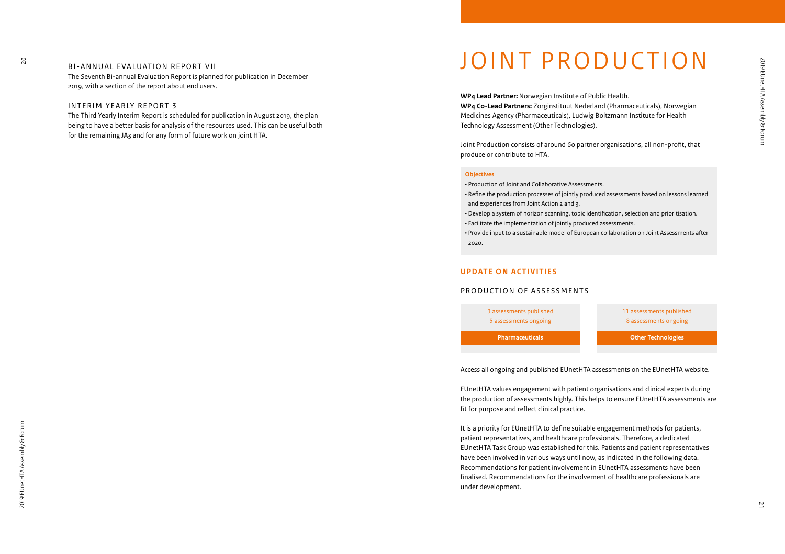BI-ANNUAL EVALUATION REPORT VII The Seventh Bi-annual Evaluation Report is planned for publication in December 2019, with a section of the report about end users.

#### INTERIM YEARLY REPORT 3

The Third Yearly Interim Report is scheduled for publication in August 2019, the plan being to have a better basis for analysis of the resources used. This can be useful both for the remaining JA3 and for any form of future work on joint HTA.

### JOINT PRODUCTION

**WP4 Lead Partner:**Norwegian Institute of Public Health. **WP4 Co-Lead Partners:** Zorginstituut Nederland (Pharmaceuticals), Norwegian Medicines Agency (Pharmaceuticals), Ludwig Boltzmann Institute for Health Technology Assessment (Other Technologies).

Joint Production consists of around 60 partner organisations, all non-profit, that produce or contribute to HTA.

#### **Objectives**

• Production of Joint and Collaborative Assessments.

• Refine the production processes of jointly produced assessments based on lessons learned and experiences from Joint Action 2 and 3.

• Develop a system of horizon scanning, topic identification, selection and prioritisation. • Facilitate the implementation of jointly produced assessments.

• Provide input to a sustainable model of European collaboration on Joint Assessments after 2020.

#### **UPDATE ON ACTIVITIES**

#### PRODUCTION OF ASSESSMENTS



Access all ongoing and published EUnetHTA assessments on the EUnetHTA website.

EUnetHTA values engagement with patient organisations and clinical experts during the production of assessments highly. This helps to ensure EUnetHTA assessments are fit for purpose and reflect clinical practice.

It is a priority for EUnetHTA to define suitable engagement methods for patients, patient representatives, and healthcare professionals. Therefore, a dedicated EUnetHTA Task Group was established for this. Patients and patient representatives have been involved in various ways until now, as indicated in the following data. Recommendations for patient involvement in EUnetHTA assessments have been finalised. Recommendations for the involvement of healthcare professionals are under development.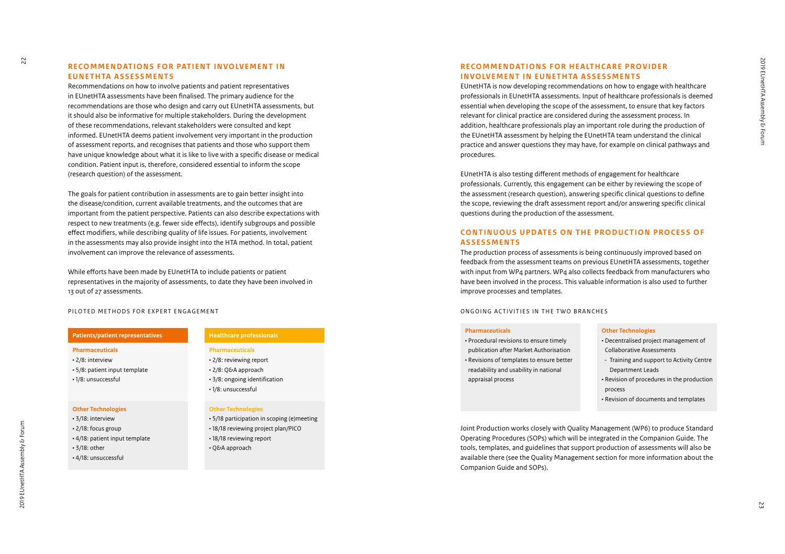#### **RECOMMENDATIONS FOR PATIENT INVOLVEMENT IN E U N E T H TA A S S E S S M E N T S**

Recommendations on how to involve patients and patient representatives in EUnetHTA assessments have been finalised. The primary audience for the recommendations are those who design and carry out EUnetHTA assessments, but it should also be informative for multiple stakeholders. During the development of these recommendations, relevant stakeholders were consulted and kept informed. EUnetHTA deems patient involvement very important in the production of assessment reports, and recognises that patients and those who support them have unique knowledge about what it is like to live with a specific disease or medical condition. Patient input is, therefore, considered essential to inform the scope (research question) of the assessment.

The goals for patient contribution in assessments are to gain better insight into the disease/condition, current available treatments, and the outcomes that are important from the patient perspective. Patients can also describe expectations with respect to new treatments (e.g. fewer side effects), identify subgroups and possible effect modifiers, while describing quality of life issues. For patients, involvement in the assessments may also provide insight into the HTA method. In total, patient involvement can improve the relevance of assessments.

While efforts have been made by EUnetHTA to include patients or patient representatives in the majority of assessments, to date they have been involved in 13 out of 27 assessments.

#### PILOTED METHODS FOR EXPERT ENGAGEMENT

|  | <b>Patients/patient representatives</b> |
|--|-----------------------------------------|
|--|-----------------------------------------|

- **Pharmaceuticals**
- 2/8: interview • 5/8: patient input template
- 1/8: unsuccessful

### **Other Technologies**

- 3/18: interview • 2/18: focus group • 4/18: patient input template
- 3/18: other
- 4/18: unsuccessful

#### **Healthcare professionals**

#### **Pharmaceuticals**

- 2/8: reviewing report
- 2/8: Q&A approach
- 3/8: ongoing identification
- 1/8: unsuccessful

#### **Other Technologies**

- 5/18 participation in scoping (e)meeting • 18/18 reviewing project plan/PICO
- 18/18 reviewing report
- Q&A approach

#### **RECOMMENDATIONS FOR HEALTHCARE PROVIDER INVOLVEMENT IN EUNETHTA ASSESSMENTS**

EUnetHTA is now developing recommendations on how to engage with healthcare professionals in EUnetHTA assessments. Input of healthcare professionals is deemed essential when developing the scope of the assessment, to ensure that key factors relevant for clinical practice are considered during the assessment process. In addition, healthcare professionals play an important role during the production of the EUnetHTA assessment by helping the EUnetHTA team understand the clinical practice and answer questions they may have, for example on clinical pathways and procedures.

EUnetHTA is also testing different methods of engagement for healthcare professionals. Currently, this engagement can be either by reviewing the scope of the assessment (research question), answering specific clinical questions to define the scope, reviewing the draft assessment report and/or answering specific clinical questions during the production of the assessment.

#### **CONTINUOUS UPDATES ON THE PRODUCTION PROCESS OF A S S E S S M E N T S**

The production process of assessments is being continuously improved based on feedback from the assessment teams on previous EUnetHTA assessments, together with input from WP4 partners. WP4 also collects feedback from manufacturers who have been involved in the process. This valuable information is also used to further improve processes and templates.

#### ONGOING ACTIVITIES IN THE TWO BRANCHES

#### **Pharmaceuticals**

• Procedural revisions to ensure timely publication after Market Authorisation • Revisions of templates to ensure better readability and usability in national appraisal process

#### **Other Technologies**

- Decentralised project management of Collaborative Assessments
- Training and support to Activity Centre Department Leads
- Revision of procedures in the production process
- Revision of documents and templates

Joint Production works closely with Quality Management (WP6) to produce Standard Operating Procedures (SOPs) which will be integrated in the Companion Guide. The tools, templates, and guidelines that support production of assessments will also be available there (see the Quality Management section for more information about the Companion Guide and SOPs).

 $\overline{c}$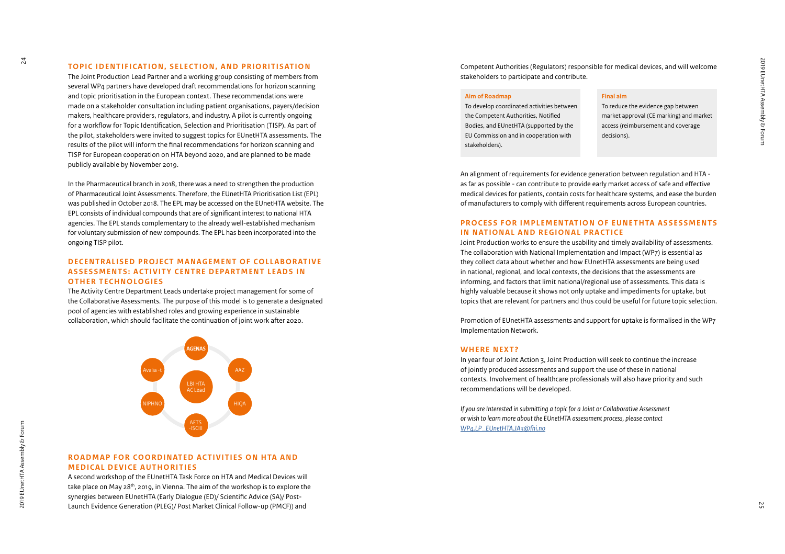#### **TOPIC IDENTIFICATION, SELECTION, AND PRIORITISATION**

The Joint Production Lead Partner and a working group consisting of members from several WP4 partners have developed draft recommendations for horizon scanning and topic prioritisation in the European context. These recommendations were made on a stakeholder consultation including patient organisations, payers/decision makers, healthcare providers, regulators, and industry. A pilot is currently ongoing for a workflow for Topic Identification, Selection and Prioritisation (TISP). As part of the pilot, stakeholders were invited to suggest topics for EUnetHTA assessments. The results of the pilot will inform the final recommendations for horizon scanning and TISP for European cooperation on HTA beyond 2020, and are planned to be made publicly available by November 2019.

In the Pharmaceutical branch in 2018, there was a need to strengthen the production of Pharmaceutical Joint Assessments. Therefore, the EUnetHTA Prioritisation List (EPL) was published in October 2018. The EPL may be accessed on the EUnetHTA website. The EPL consists of individual compounds that are of significant interest to national HTA agencies. The EPL stands complementary to the already well-established mechanism for voluntary submission of new compounds. The EPL has been incorporated into the ongoing TISP pilot.

#### **DECENTRALISED PROJECT MANAGEMENT OF COLLABORATIVE ASSESSMENTS: ACTIVITY CENTRE DEPARTMENT LEADS IN OTHER TECHNOLOGIES**

The Activity Centre Department Leads undertake project management for some of the Collaborative Assessments. The purpose of this model is to generate a designated pool of agencies with established roles and growing experience in sustainable collaboration, which should facilitate the continuation of joint work after 2020.



#### **ROADMAP FOR COORDINATED ACTIVITIES ON HTA AND MEDICAL DEVICE AUTHORITIES**

A second workshop of the EUnetHTA Task Force on HTA and Medical Devices will take place on May 28th, 2019, in Vienna. The aim of the workshop is to explore the synergies between EUnetHTA (Early Dialogue (ED)/ Scientific Advice (SA)/ Post-Launch Evidence Generation (PLEG)/ Post Market Clinical Follow-up (PMCF)) and

Competent Authorities (Regulators) responsible for medical devices, and will welcome stakeholders to participate and contribute.

#### **Aim of Roadmap**

To develop coordinated activities between the Competent Authorities, Notified Bodies, and EUnetHTA (supported by the EU Commission and in cooperation with stakeholders).

#### **Final aim**

To reduce the evidence gap between market approval (CE marking) and market access (reimbursement and coverage decisions).

An alignment of requirements for evidence generation between regulation and HTA as far as possible - can contribute to provide early market access of safe and effective medical devices for patients, contain costs for healthcare systems, and ease the burden of manufacturers to comply with different requirements across European countries.

#### **PROCESS FOR IMPLEMENTATION OF EUNETHTA ASSESSMENTS IN NATIONAL AND REGIONAL PRACTICE**

Joint Production works to ensure the usability and timely availability of assessments. The collaboration with National Implementation and Impact (WP7) is essential as they collect data about whether and how EUnetHTA assessments are being used in national, regional, and local contexts, the decisions that the assessments are informing, and factors that limit national/regional use of assessments. This data is highly valuable because it shows not only uptake and impediments for uptake, but topics that are relevant for partners and thus could be useful for future topic selection.

Promotion of EUnetHTA assessments and support for uptake is formalised in the WP7 Implementation Network.

#### **WHERE NEXT?**

In year four of Joint Action 3, Joint Production will seek to continue the increase of jointly produced assessments and support the use of these in national contexts. Involvement of healthcare professionals will also have priority and such recommendations will be developed.

*If you are Interested in submitting a topic for a Joint or Collaborative Assessment or wish to learn more about the EUnetHTA assessment process, please contact [WP4.LP\\_EUnetHTA.JA3@fhi.no](mailto:WP4.LP_EUnetHTA.JA3%40fhi.no%20?subject=)*

 $\overline{a}$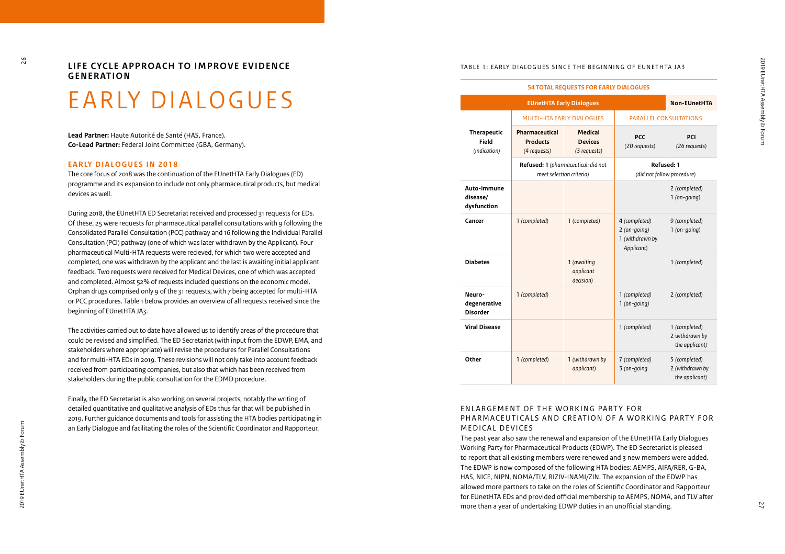$\overline{6}$ 

LIFE CYCLE APPROACH TO IMPROVE EVIDENCE **GENERATION**

### EARLY DIALOGUES

**Lead Partner:** Haute Autorité de Santé (HAS, France). **Co-Lead Partner:** Federal Joint Committee (GBA, Germany).

#### **EARLY DIALOGUES IN 2018**

The core focus of 2018 was the continuation of the EUnetHTA Early Dialogues (ED) programme and its expansion to include not only pharmaceutical products, but medical devices as well.

During 2018, the EUnetHTA ED Secretariat received and processed 31 requests for EDs. Of these, 25 were requests for pharmaceutical parallel consultations with 9 following the Consolidated Parallel Consultation (PCC) pathway and 16 following the Individual Parallel Consultation (PCI) pathway (one of which was later withdrawn by the Applicant). Four pharmaceutical Multi-HTA requests were recieved, for which two were accepted and completed, one was withdrawn by the applicant and the last is awaiting initial applicant feedback. Two requests were received for Medical Devices, one of which was accepted and completed. Almost 52% of requests included questions on the economic model. Orphan drugs comprised only 9 of the 31 requests, with 7 being accepted for multi-HTA or PCC procedures. Table 1 below provides an overview of all requests received since the beginning of EUnetHTA JA3.

The activities carried out to date have allowed us to identify areas of the procedure that could be revised and simplified. The ED Secretariat (with input from the EDWP, EMA, and stakeholders where appropriate) will revise the procedures for Parallel Consultations and for multi-HTA EDs in 2019. These revisions will not only take into account feedback received from participating companies, but also that which has been received from stakeholders during the public consultation for the EDMD procedure.

Finally, the ED Secretariat is also working on several projects, notably the writing of detailed quantitative and qualitative analysis of EDs thus far that will be published in 2019. Further guidance documents and tools for assisting the HTA bodies participating in an Early Dialogue and facilitating the roles of the Scientific Coordinator and Rapporteur.

#### TABLE 1: EARLY DIALOGUES SINCE THE BEGINNING OF EUNETHTA JA3

| <b>54 TOTAL REQUESTS FOR EARLY DIALOGUES</b>           |                                                                 |                                                  |                                                                  |                                                    |
|--------------------------------------------------------|-----------------------------------------------------------------|--------------------------------------------------|------------------------------------------------------------------|----------------------------------------------------|
| <b>EUnetHTA Early Dialogues</b><br><b>Non-EUnetHTA</b> |                                                                 |                                                  |                                                                  |                                                    |
|                                                        | <b>MULTI-HTA EARLY DIALOGUES</b>                                |                                                  | PARALLEL CONSULTATIONS                                           |                                                    |
| <b>Therapeutic</b><br>Field<br>(indication)            | <b>Pharmaceutical</b><br><b>Products</b><br>(4 requests)        | <b>Medical</b><br><b>Devices</b><br>(3 requests) | <b>PCC</b><br>(20 requests)                                      | PCI<br>(26 requests)                               |
|                                                        | Refused: 1 (pharmaceutical: did not<br>meet selection criteria) |                                                  | <b>Refused: 1</b><br>(did not follow procedure)                  |                                                    |
| Auto-immune<br>disease/<br>dysfunction                 |                                                                 |                                                  |                                                                  | 2 (completed)<br>$1($ on-going $)$                 |
| Cancer                                                 | 1 (completed)                                                   | 1 (completed)                                    | 4 (completed)<br>$2 (on-qoinq)$<br>1 (withdrawn by<br>Applicant) | 9 (completed)<br>$1$ (on-going)                    |
| <b>Diabetes</b>                                        |                                                                 | 1 (awaiting<br>applicant<br>decision)            |                                                                  | 1 (completed)                                      |
| Neuro-<br>degenerative<br><b>Disorder</b>              | 1 (completed)                                                   |                                                  | 1 (completed)<br>$1 (on-qoinq)$                                  | 2 (completed)                                      |
| <b>Viral Disease</b>                                   |                                                                 |                                                  | 1 (completed)                                                    | 1 (completed)<br>2 withdrawn by<br>the applicant)  |
| Other                                                  | 1 (completed)                                                   | 1 (withdrawn by<br>applicant)                    | 7 (completed)<br>3 (on-going                                     | 5 (completed)<br>2 (withdrawn by<br>the applicant) |

#### ENLARGEMENT OF THE WORKING PARTY FOR PHARMACEUTICALS AND CREATION OF A WORKING PARTY FOR MEDICAL DEVICES

The past year also saw the renewal and expansion of the EUnetHTA Early Dialogues Working Party for Pharmaceutical Products (EDWP). The ED Secretariat is pleased to report that all existing members were renewed and 3 new members were added. The EDWP is now composed of the following HTA bodies: AEMPS, AIFA/RER, G-BA, HAS, NICE, NIPN, NOMA/TLV, RIZIV-INAMI/ZIN. The expansion of the EDWP has allowed more partners to take on the roles of Scientific Coordinator and Rapporteur for EUnetHTA EDs and provided official membership to AEMPS, NOMA, and TLV after more than a year of undertaking EDWP duties in an unofficial standing.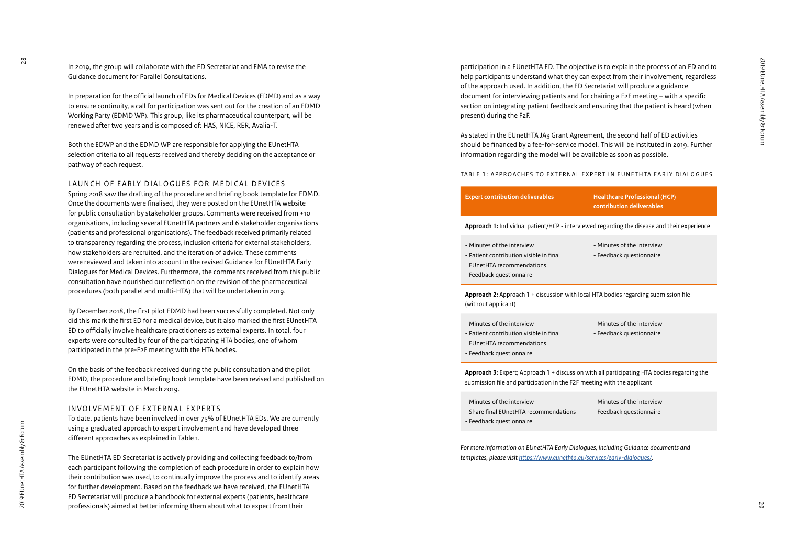In 2019, the group will collaborate with the ED Secretariat and EMA to revise the Guidance document for Parallel Consultations.

In preparation for the official launch of EDs for Medical Devices (EDMD) and as a way to ensure continuity, a call for participation was sent out for the creation of an EDMD Working Party (EDMD WP). This group, like its pharmaceutical counterpart, will be renewed after two years and is composed of: HAS, NICE, RER, Avalia-T.

Both the EDWP and the EDMD WP are responsible for applying the EUnetHTA selection criteria to all requests received and thereby deciding on the acceptance or pathway of each request.

#### LAUNCH OF EARLY DIALOGUES FOR MEDICAL DEVICES

Spring 2018 saw the drafting of the procedure and briefing book template for EDMD. Once the documents were finalised, they were posted on the EUnetHTA website for public consultation by stakeholder groups. Comments were received from +10 organisations, including several EUnetHTA partners and 6 stakeholder organisations (patients and professional organisations). The feedback received primarily related to transparency regarding the process, inclusion criteria for external stakeholders, how stakeholders are recruited, and the iteration of advice. These comments were reviewed and taken into account in the revised Guidance for EUnetHTA Early Dialogues for Medical Devices. Furthermore, the comments received from this public consultation have nourished our reflection on the revision of the pharmaceutical procedures (both parallel and multi-HTA) that will be undertaken in 2019.

By December 2018, the first pilot EDMD had been successfully completed. Not only did this mark the first ED for a medical device, but it also marked the first EUnetHTA ED to officially involve healthcare practitioners as external experts. In total, four experts were consulted by four of the participating HTA bodies, one of whom participated in the pre-F2F meeting with the HTA bodies.

On the basis of the feedback received during the public consultation and the pilot EDMD, the procedure and briefing book template have been revised and published on the EUnetHTA website in March 2019.

#### INVOLVEMENT OF EXTERNAL EXPERTS

To date, patients have been involved in over 75% of EUnetHTA EDs. We are currently using a graduated approach to expert involvement and have developed three different approaches as explained in Table 1.

The EUnetHTA ED Secretariat is actively providing and collecting feedback to/from each participant following the completion of each procedure in order to explain how their contribution was used, to continually improve the process and to identify areas for further development. Based on the feedback we have received, the EUnetHTA ED Secretariat will produce a handbook for external experts (patients, healthcare professionals) aimed at better informing them about what to expect from their

participation in a EUnetHTA ED. The objective is to explain the process of an ED and to help participants understand what they can expect from their involvement, regardless of the approach used. In addition, the ED Secretariat will produce a guidance document for interviewing patients and for chairing a F2F meeting – with a specific section on integrating patient feedback and ensuring that the patient is heard (when present) during the F2F.

As stated in the EUnetHTA JA3 Grant Agreement, the second half of ED activities should be financed by a fee-for-service model. This will be instituted in 2019. Further information regarding the model will be available as soon as possible.

#### TABLE 1: APPROACHES TO EXTERNAL EXPERT IN EUNETHTA EARLY DIALOGUES

| <b>Expert contribution deliverables</b>                                                            | <b>Healthcare Professional (HCP)</b><br>contribution deliverables |
|----------------------------------------------------------------------------------------------------|-------------------------------------------------------------------|
| <b>Approach 1:</b> Individual patient/HCP - interviewed regarding the disease and their experience |                                                                   |

- Minutes of the interview - Patient contribution visible in final EUnetHTA recommendations - Feedback questionnaire
- Minutes of the interview
- Feedback questionnaire

**Approach 2:** Approach 1 + discussion with local HTA bodies regarding submission file (without applicant)

- Minutes of the interview - Patient contribution visible in final EUnetHTA recommendations - Feedback questionnaire
- Minutes of the interview - Feedback questionnaire

**Approach 3:** Expert; Approach 1 + discussion with all participating HTA bodies regarding the submission file and participation in the F2F meeting with the applicant

| - Minutes of the interview             | - Minutes of the interview |
|----------------------------------------|----------------------------|
| - Share final EUnetHTA recommendations | - Feedback questionnaire   |
| - Feedback questionnaire               |                            |

*For more information on EUnetHTA Early Dialogues, including Guidance documents and templates, please visit<https://www.eunethta.eu/services/early-dialogues/>.*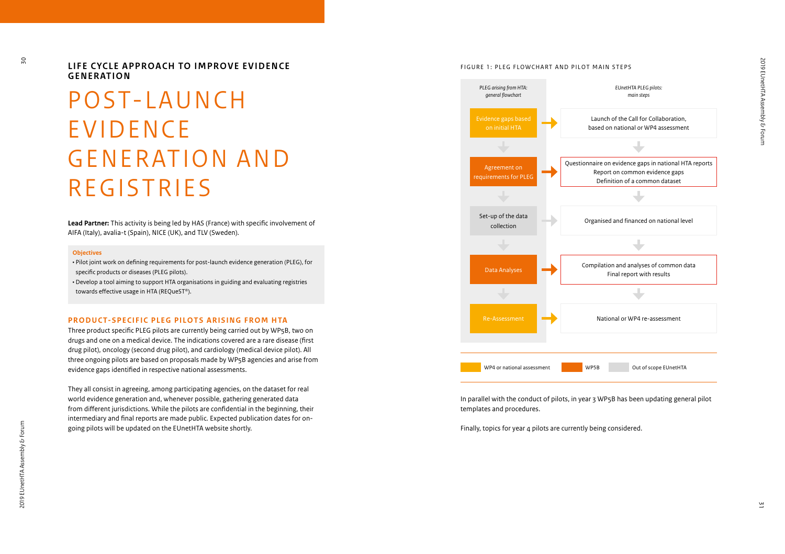LIFE CYCLE APPROACH TO IMPROVE EVIDENCE **GENERATION**

## POST-LAUNCH **EVIDENCE** G E N E R AT I O N A N D REGISTRIES

**Lead Partner:** This activity is being led by HAS (France) with specific involvement of AIFA (Italy), avalia-t (Spain), NICE (UK), and TLV (Sweden).

#### **Objectives**

• Pilot joint work on defining requirements for post-launch evidence generation (PLEG), for specific products or diseases (PLEG pilots).

• Develop a tool aiming to support HTA organisations in guiding and evaluating registries towards effective usage in HTA (REQueST ®).

#### **PRODUCT-SPECIFIC PLEG PILOTS ARISING FROM HTA**

Three product specific PLEG pilots are currently being carried out by WP5B, two on drugs and one on a medical device. The indications covered are a rare disease (first drug pilot), oncology (second drug pilot), and cardiology (medical device pilot). All three ongoing pilots are based on proposals made by WP5B agencies and arise from evidence gaps identified in respective national assessments.

They all consist in agreeing, among participating agencies, on the dataset for real world evidence generation and, whenever possible, gathering generated data from different jurisdictions. While the pilots are confidential in the beginning, their intermediary and final reports are made public. Expected publication dates for ongoing pilots will be updated on the EUnetHTA website shortly.





In parallel with the conduct of pilots, in year 3 WP5B has been updating general pilot templates and procedures.

Finally, topics for year 4 pilots are currently being considered.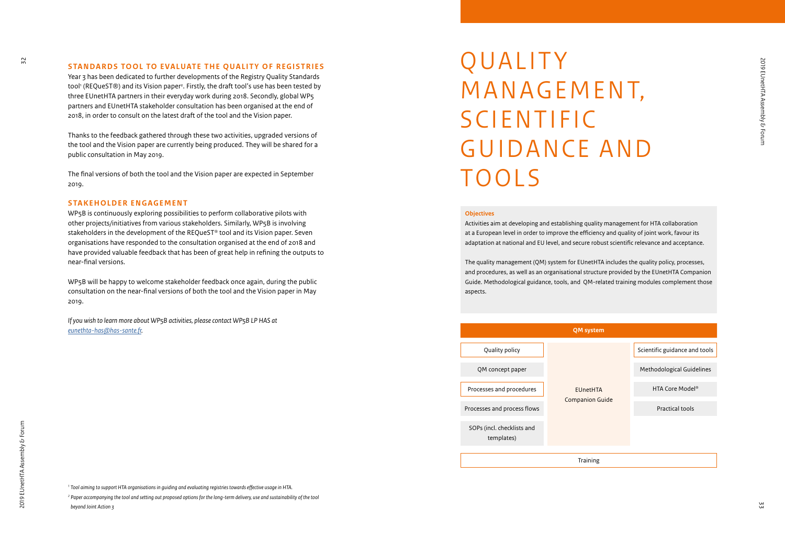#### **STANDARDS TOOL TO EVALUATE THE QUALITY OF REGISTRIES**

Year 3 has been dedicated to further developments of the Registry Quality Standards tool 1 (REQueST®) and its Vision paper 2 . Firstly, the draft tool's use has been tested by three EUnetHTA partners in their everyday work during 2018. Secondly, global WP5 partners and EUnetHTA stakeholder consultation has been organised at the end of 2018, in order to consult on the latest draft of the tool and the Vision paper.

Thanks to the feedback gathered through these two activities, upgraded versions of the tool and the Vision paper are currently being produced. They will be shared for a public consultation in May 2019.

The final versions of both the tool and the Vision paper are expected in September 2019.

#### **STAKEHOLDER ENGAGEMENT**

WP5B is continuously exploring possibilities to perform collaborative pilots with other projects/initiatives from various stakeholders. Similarly, WP5B is involving stakeholders in the development of the REQueST ® tool and its Vision paper. Seven organisations have responded to the consultation organised at the end of 2018 and have provided valuable feedback that has been of great help in refining the outputs to near-final versions.

WP5B will be happy to welcome stakeholder feedback once again, during the public consultation on the near-final versions of both the tool and the Vision paper in May 2019.

*If you wish to learn more about WP5B activities, please contact WP5B LP HAS at [eunethta-has@has-sante.fr.](http://eunethta-has@has-sante.fr)*

# **QUALITY** MANAGEMENT, S C I E N T I F I C GUIDANCE AND TOOLS

#### **Objectives**

Activities aim at developing and establishing quality management for HTA collaboration at a European level in order to improve the efficiency and quality of joint work, favour its adaptation at national and EU level, and secure robust scientific relevance and acceptance.

The quality management (QM) system for EUnetHTA includes the quality policy, processes, and procedures, as well as an organisational structure provided by the EUnetHTA Companion Guide. Methodological guidance, tools, and QM-related training modules complement those aspects.



*<sup>1</sup> Tool aiming to support HTA organisations in guiding and evaluating registries towards effective usage in HTA.*

*<sup>2</sup> Paper accompanying the tool and setting out proposed options for the long-term delivery, use and sustainability of the tool beyond Joint Action 3*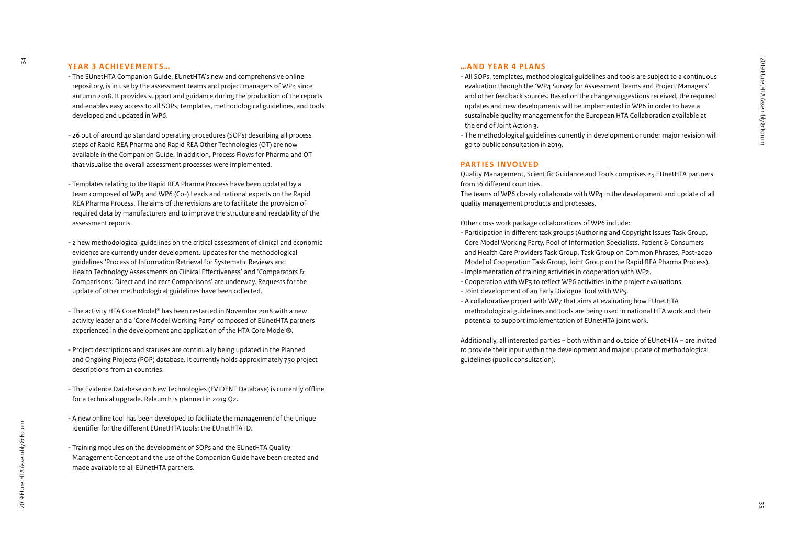#### **YEAR 3 ACHIEVEMENTS...**

- The EUnetHTA Companion Guide, EUnetHTA's new and comprehensive online repository, is in use by the assessment teams and project managers of WP4 since autumn 2018. It provides support and guidance during the production of the reports and enables easy access to all SOPs, templates, methodological guidelines, and tools developed and updated in WP6.
- 26 out of around 40 standard operating procedures (SOPs) describing all process steps of Rapid REA Pharma and Rapid REA Other Technologies (OT) are now available in the Companion Guide. In addition, Process Flows for Pharma and OT that visualise the overall assessment processes were implemented.
- Templates relating to the Rapid REA Pharma Process have been updated by a team composed of WP4 and WP6 (Co-) Leads and national experts on the Rapid REA Pharma Process. The aims of the revisions are to facilitate the provision of required data by manufacturers and to improve the structure and readability of the assessment reports.
- 2 new methodological guidelines on the critical assessment of clinical and economic evidence are currently under development. Updates for the methodological guidelines 'Process of Information Retrieval for Systematic Reviews and Health Technology Assessments on Clinical Effectiveness' and 'Comparators & Comparisons: Direct and Indirect Comparisons' are underway. Requests for the update of other methodological guidelines have been collected.
- The activity HTA Core Model ® has been restarted in November 2018 with a new activity leader and a 'Core Model Working Party' composed of EUnetHTA partners experienced in the development and application of the HTA Core Model®.
- Project descriptions and statuses are continually being updated in the Planned and Ongoing Projects (POP) database. It currently holds approximately 750 project descriptions from 21 countries.
- The Evidence Database on New Technologies (EVIDENT Database) is currently offline for a technical upgrade. Relaunch is planned in 2019 Q2.
- A new online tool has been developed to facilitate the management of the unique identifier for the different EUnetHTA tools: the EUnetHTA ID.
- Training modules on the development of SOPs and the EUnetHTA Quality Management Concept and the use of the Companion Guide have been created and made available to all EUnetHTA partners.

#### **…AND YEAR 4 PLANS**

- All SOPs, templates, methodological guidelines and tools are subject to a continuous evaluation through the 'WP4 Survey for Assessment Teams and Project Managers' and other feedback sources. Based on the change suggestions received, the required updates and new developments will be implemented in WP6 in order to have a sustainable quality management for the European HTA Collaboration available at the end of Joint Action 3.
- The methodological guidelines currently in development or under major revision will go to public consultation in 2019.

#### **PARTIES INVOLVED**

Quality Management, Scientific Guidance and Tools comprises 25 EUnetHTA partners from 16 different countries.

The teams of WP6 closely collaborate with WP4 in the development and update of all quality management products and processes.

#### Other cross work package collaborations of WP6 include:

- Participation in different task groups (Authoring and Copyright Issues Task Group, Core Model Working Party, Pool of Information Specialists, Patient & Consumers and Health Care Providers Task Group, Task Group on Common Phrases, Post-2020 Model of Cooperation Task Group, Joint Group on the Rapid REA Pharma Process).
- Implementation of training activities in cooperation with WP2.
- Cooperation with WP3 to reflect WP6 activities in the project evaluations.
- Joint development of an Early Dialogue Tool with WP5.
- A collaborative project with WP7 that aims at evaluating how EUnetHTA methodological guidelines and tools are being used in national HTA work and their potential to support implementation of EUnetHTA joint work.

Additionally, all interested parties – both within and outside of EUnetHTA – are invited to provide their input within the development and major update of methodological guidelines (public consultation).

 $\overline{54}$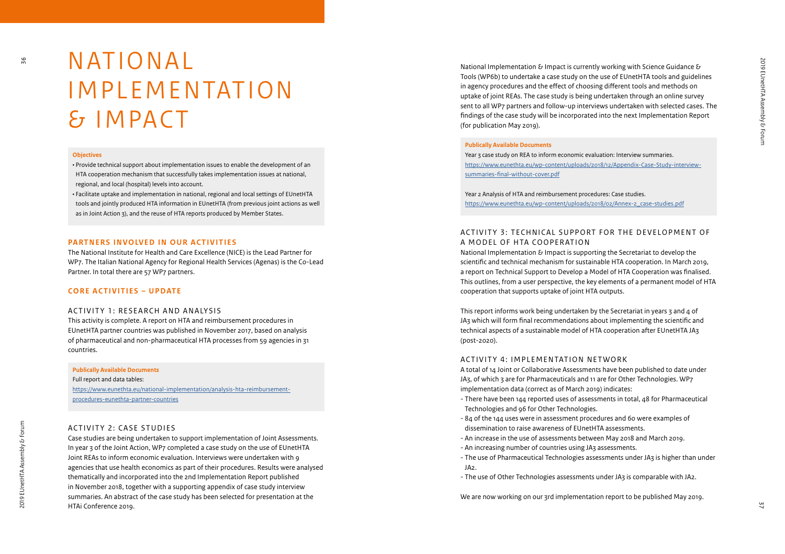## **NATIONAL I M P L E M E N T A T I O N** & IMPACT

#### **Objectives**

36

• Provide technical support about implementation issues to enable the development of an HTA cooperation mechanism that successfully takes implementation issues at national, regional, and local (hospital) levels into account.

• Facilitate uptake and implementation in national, regional and local settings of EUnetHTA tools and jointly produced HTA information in EUnetHTA (from previous joint actions as well as in Joint Action 3), and the reuse of HTA reports produced by Member States.

#### **PARTNERS INVOLVED IN OUR ACTIVITIES**

The National Institute for Health and Care Excellence (NICE) is the Lead Partner for WP7. The Italian National Agency for Regional Health Services (Agenas) is the Co-Lead Partner. In total there are 57 WP7 partners.

#### **CORE ACTIVITIES – UPDATE**

#### ACTIVITY 1: RESEARCH AND ANALYSIS

This activity is complete. A report on HTA and reimbursement procedures in EUnetHTA partner countries was published in November 2017, based on analysis of pharmaceutical and non-pharmaceutical HTA processes from 59 agencies in 31 countries.

#### **Publically Available Documents**

Full report and data tables: [https://www.eunethta.eu/national-implementation/analysis-hta-reimbursement](https://www.eunethta.eu/national-implementation/analysis-hta-reimbursement-procedures-eunethta-partner-countries/)[procedures-eunethta-partner-countries](https://www.eunethta.eu/national-implementation/analysis-hta-reimbursement-procedures-eunethta-partner-countries/)

#### ACTIVITY 2: CASE STUDIES

Case studies are being undertaken to support implementation of Joint Assessments. In year 3 of the Joint Action, WP7 completed a case study on the use of EUnetHTA Joint REAs to inform economic evaluation. Interviews were undertaken with 9 agencies that use health economics as part of their procedures. Results were analysed thematically and incorporated into the 2nd Implementation Report published in November 2018, together with a supporting appendix of case study interview summaries. An abstract of the case study has been selected for presentation at the HTAi Conference 2019.

National Implementation  $\epsilon$  Impact is currently working with Science Guidance  $\epsilon$ Tools (WP6b) to undertake a case study on the use of EUnetHTA tools and guidelines in agency procedures and the effect of choosing different tools and methods on uptake of joint REAs. The case study is being undertaken through an online survey sent to all WP7 partners and follow-up interviews undertaken with selected cases. The findings of the case study will be incorporated into the next Implementation Report (for publication May 2019).

#### **Publically Available Documents**

Year 3 case study on REA to inform economic evaluation: Interview summaries. [https://www.eunethta.eu/wp-content/uploads/2018/12/Appendix-Case-Study-interview](https://www.eunethta.eu/wp-content/uploads/2018/12/Appendix-Case-Study-interview-summaries-final-without-cover.pdf)[summaries-final-without-cover.pdf](https://www.eunethta.eu/wp-content/uploads/2018/12/Appendix-Case-Study-interview-summaries-final-without-cover.pdf)

Year 2 Analysis of HTA and reimbursement procedures: Case studies. [https://www.eunethta.eu/wp-content/uploads/2018/02/Annex-2\\_case-studies.pdf](https://www.eunethta.eu/wp-content/uploads/2018/02/Annex-2_case-studies.pdf)

#### ACTIVITY 3: TECHNICAL SUPPORT FOR THE DEVELOPMENT OF A MODEL OF HTA COOPERATION

National Implementation & Impact is supporting the Secretariat to develop the scientific and technical mechanism for sustainable HTA cooperation. In March 2019, a report on Technical Support to Develop a Model of HTA Cooperation was finalised. This outlines, from a user perspective, the key elements of a permanent model of HTA cooperation that supports uptake of joint HTA outputs.

This report informs work being undertaken by the Secretariat in years 3 and 4 of JA3 which will form final recommendations about implementing the scientific and technical aspects of a sustainable model of HTA cooperation after EUnetHTA JA3 (post-2020).

#### ACTIVITY 4: IMPLEMENTATION NETWORK

A total of 14 Joint or Collaborative Assessments have been published to date under JA3, of which 3 are for Pharmaceuticals and 11 are for Other Technologies. WP7 implementation data (correct as of March 2019) indicates:

- There have been 144 reported uses of assessments in total, 48 for Pharmaceutical Technologies and 96 for Other Technologies.
- 84 of the 144 uses were in assessment procedures and 60 were examples of dissemination to raise awareness of EUnetHTA assessments.
- An increase in the use of assessments between May 2018 and March 2019.
- An increasing number of countries using JA3 assessments.
- The use of Pharmaceutical Technologies assessments under JA3 is higher than under JA2.
- The use of Other Technologies assessments under JA3 is comparable with JA2.

We are now working on our 3rd implementation report to be published May 2019.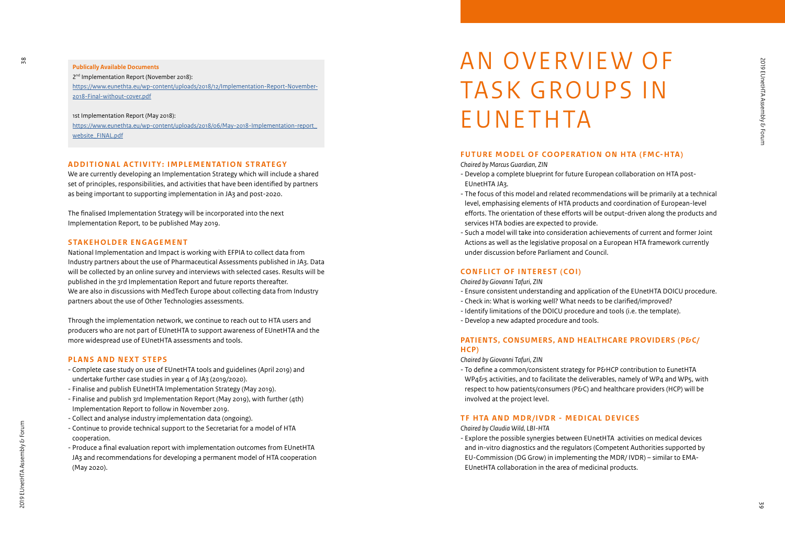#### **Publically Available Documents**

2<sup>nd</sup> Implementation Report (November 2018): [https://www.eunethta.eu/wp-content/uploads/2018/12/Implementation-Report-November-](https://www.eunethta.eu/wp-content/uploads/2018/12/Implementation-Report-November-2018-Final-without-cover.pdf)[2018-Final-without-cover.pdf](https://www.eunethta.eu/wp-content/uploads/2018/12/Implementation-Report-November-2018-Final-without-cover.pdf)

1st Implementation Report (May 2018): [https://www.eunethta.eu/wp-content/uploads/2018/06/May-2018-Implementation-report\\_](https://www.eunethta.eu/wp-content/uploads/2018/06/May-2018-Implementation-report_website_FINAL.pdf) [website\\_FINAL.pdf](https://www.eunethta.eu/wp-content/uploads/2018/06/May-2018-Implementation-report_website_FINAL.pdf)

#### **ADDITIONAL ACTIVITY: IMPLEMENTATION STRATEGY**

We are currently developing an Implementation Strategy which will include a shared set of principles, responsibilities, and activities that have been identified by partners as being important to supporting implementation in JA3 and post-2020.

The finalised Implementation Strategy will be incorporated into the next Implementation Report, to be published May 2019.

#### **STAKEHOLDER ENGAGEMENT**

National Implementation and Impact is working with EFPIA to collect data from Industry partners about the use of Pharmaceutical Assessments published in JA3. Data will be collected by an online survey and interviews with selected cases. Results will be published in the 3rd Implementation Report and future reports thereafter. We are also in discussions with MedTech Europe about collecting data from Industry partners about the use of Other Technologies assessments.

Through the implementation network, we continue to reach out to HTA users and producers who are not part of EUnetHTA to support awareness of EUnetHTA and the more widespread use of EUnetHTA assessments and tools.

#### **PLANS AND NEXT STEPS**

- Complete case study on use of EUnetHTA tools and guidelines (April 2019) and undertake further case studies in year 4 of JA3 (2019/2020).
- Finalise and publish EUnetHTA Implementation Strategy (May 2019).
- Finalise and publish 3rd Implementation Report (May 2019), with further (4th) Implementation Report to follow in November 2019.
- Collect and analyse industry implementation data (ongoing).
- Continue to provide technical support to the Secretariat for a model of HTA cooperation.
- Produce a final evaluation report with implementation outcomes from EUnetHTA JA3 and recommendations for developing a permanent model of HTA cooperation (May 2020).

# AN OVERVIEW OF TASK GROUPS IN **EUNETHTA**

#### **FUTURE MODEL OF COOPERATION ON HTA (FMC-HTA)**

*Chaired by Marcus Guardian, ZIN*

- Develop a complete blueprint for future European collaboration on HTA post-EUnetHTA JA3.
- The focus of this model and related recommendations will be primarily at a technical level, emphasising elements of HTA products and coordination of European-level efforts. The orientation of these efforts will be output-driven along the products and services HTA bodies are expected to provide.
- Such a model will take into consideration achievements of current and former Joint Actions as well as the legislative proposal on a European HTA framework currently under discussion before Parliament and Council.

#### **CONFLICT OF INTEREST (COI)**

#### *Chaired by Giovanni Tafuri, ZIN*

- Ensure consistent understanding and application of the EUnetHTA DOICU procedure.
- Check in: What is working well? What needs to be clarified/improved?
- Identify limitations of the DOICU procedure and tools (i.e. the template).
- Develop a new adapted procedure and tools.

#### **PATIENTS, CONSUMERS, AND HEALTHCARE PROVIDERS (P&C/ HCP)**

*Chaired by Giovanni Tafuri, ZIN*

- To define a common/consistent strategy for P&HCP contribution to EunetHTA WP4&5 activities, and to facilitate the deliverables, namely of WP4 and WP5, with respect to how patients/consumers (P&C) and healthcare providers (HCP) will be involved at the project level.

#### **TF HTA AND MDR/IVDR - MEDICAL DEVICES**

#### *Chaired by Claudia Wild, LBI-HTA*

- Explore the possible synergies between EUnetHTA activities on medical devices and in-vitro diagnostics and the regulators (Competent Authorities supported by EU-Commission (DG Grow) in implementing the MDR/ IVDR) – similar to EMA-EUnetHTA collaboration in the area of medicinal products.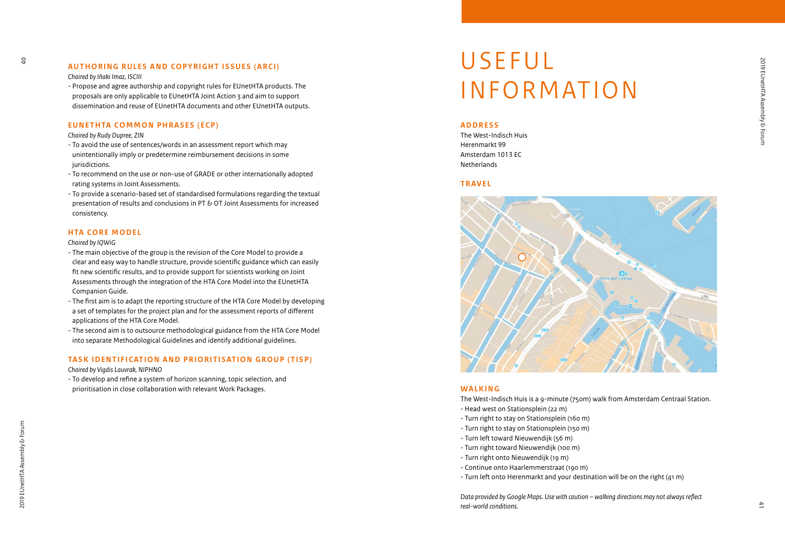### **AUTHORING RULES AND COPYRIGHT ISSUES (ARCI)**

#### *Chaired by Iñaki Imaz, ISCIII*

- Propose and agree authorship and copyright rules for EUnetHTA products. The proposals are only applicable to EUnetHTA Joint Action 3 and aim to support dissemination and reuse of EUnetHTA documents and other EUnetHTA outputs.

#### **EUNETHTA COMMON PHRASES (ECP)**

#### *Chaired by Rudy Dupree, ZIN*

- To avoid the use of sentences/words in an assessment report which may unintentionally imply or predetermine reimbursement decisions in some jurisdictions.
- To recommend on the use or non-use of GRADE or other internationally adopted rating systems in Joint Assessments.
- To provide a scenario-based set of standardised formulations regarding the textual presentation of results and conclusions in PT & OT Joint Assessments for increased consistency.

#### **HTA CORE MODEL**

#### *Chaired by IQWiG*

- The main objective of the group is the revision of the Core Model to provide a clear and easy way to handle structure, provide scientific guidance which can easily fit new scientific results, and to provide support for scientists working on Joint Assessments through the integration of the HTA Core Model into the EUnetHTA Companion Guide.
- The first aim is to adapt the reporting structure of the HTA Core Model by developing a set of templates for the project plan and for the assessment reports of different applications of the HTA Core Model.
- The second aim is to outsource methodological guidance from the HTA Core Model into separate Methodological Guidelines and identify additional guidelines.

#### **TASK IDENTIFICATION AND PRIORITISATION GROUP (TISP)**

*Chaired by Vigdis Lauvrak, NIPHNO*

- To develop and refine a system of horizon scanning, topic selection, and prioritisation in close collaboration with relevant Work Packages.

### **USEFUL INFORMATION**

#### **ADDRESS**

The West-Indisch Huis Herenmarkt 99 Amsterdam 1013 EC **Netherlands** 

#### **TRAVEL**



#### **WALKING**

The West-Indisch Huis is a 9-minute (750m) walk from Amsterdam Centraal Station.

- Head west on Stationsplein (22 m)
- Turn right to stay on Stationsplein (160 m)
- Turn right to stay on Stationsplein (150 m)
- Turn left toward Nieuwendijk (56 m)
- Turn right toward Nieuwendijk (100 m)
- Turn right onto Nieuwendijk (19 m)
- Continue onto Haarlemmerstraat (190 m)
- Turn left onto Herenmarkt and your destination will be on the right (41 m)

*Data provided by Google Maps. Use with caution – walking directions may not always reflect real-world conditions.*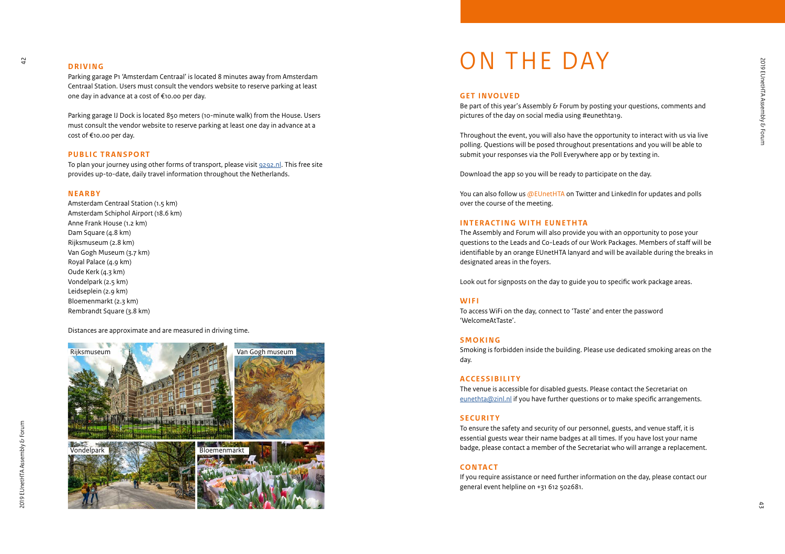#### **DRIVING**

Parking garage P1 'Amsterdam Centraal' is located 8 minutes away from Amsterdam Centraal Station. Users must consult the vendors website to reserve parking at least one day in advance at a cost of €10.00 per day.

Parking garage IJ Dock is located 850 meters (10-minute walk) from the House. Users must consult the vendor website to reserve parking at least one day in advance at a cost of €10.00 per day.

#### **PUBLIC TRANSPORT**

To plan your journey using other forms of transport, please visit [9292.nl](https://www.9292.nl). This free site provides up-to-date, daily travel information throughout the Netherlands.

#### **NEARBY**

Amsterdam Centraal Station (1.5 km) Amsterdam Schiphol Airport (18.6 km) Anne Frank House (1.2 km) Dam Square (4.8 km) Rijksmuseum (2.8 km) Van Gogh Museum (3.7 km) Royal Palace (4.9 km) Oude Kerk (4.3 km) Vondelpark (2.5 km) Leidseplein (2.9 km) Bloemenmarkt (2.3 km) Rembrandt Square (3.8 km)

Distances are approximate and are measured in driving time.



# ON THE DAY

#### **GET INVOLVED**

Be part of this year's Assembly & Forum by posting your questions, comments and pictures of the day on social media using #eunethta19.

Throughout the event, you will also have the opportunity to interact with us via live polling. Questions will be posed throughout presentations and you will be able to submit your responses via the Poll Everywhere app or by texting in.

Download the app so you will be ready to participate on the day.

You can also follow us @EUnetHTA on Twitter and LinkedIn for updates and polls over the course of the meeting.

#### **INTERACTING WITH EUNETHTA**

The Assembly and Forum will also provide you with an opportunity to pose your questions to the Leads and Co-Leads of our Work Packages. Members of staff will be identifiable by an orange EUnetHTA lanyard and will be available during the breaks in designated areas in the foyers.

Look out for signposts on the day to guide you to specific work package areas.

#### **WIFI**

To access WiFi on the day, connect to 'Taste' and enter the password 'WelcomeAtTaste'.

#### **SMOKING**

Smoking is forbidden inside the building. Please use dedicated smoking areas on the day.

#### **ACCESSIBILITY**

The venue is accessible for disabled guests. Please contact the Secretariat on [eunethta@zinl.nl](mailto:eunethta%40zinl.nl?subject=) if you have further questions or to make specific arrangements.

#### **SECURITY**

To ensure the safety and security of our personnel, guests, and venue staff, it is essential guests wear their name badges at all times. If you have lost your name badge, please contact a member of the Secretariat who will arrange a replacement.

#### **CONTACT**

If you require assistance or need further information on the day, please contact our general event helpline on +31 612 502681.